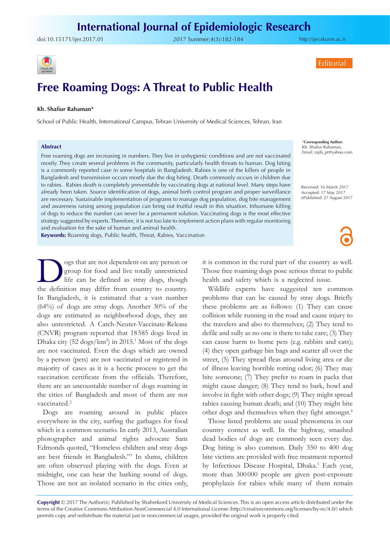doi:[10.15171/ijer.2017.01](http://dx.doi.org/10.15171/ijer.2017.01) 2017 Summer;4(3):182-184

<http://ijer.skums.ac.ir>

**Editorial** 



# **Free Roaming Dogs: A Threat to Public Health**

#### **Kh. Shafiur Rahaman\***

School of Public Health, International Campus, Tehran University of Medical Sciences, Tehran, Iran

#### **Abstract**

Free roaming dogs are increasing in numbers. They live in unhygienic conditions and are not vaccinated mostly. They create several problems in the community, particularly health threats to human. Dog biting is a commonly reported case in some hospitals in Bangladesh. Rabies is one of the killers of people in Bangladesh and transmission occurs mostly due the dog biting. Death commonly occurs in children due to rabies. Rabies death is completely preventable by vaccinating dogs at national level. Many steps have already been taken. Source identification of dogs, animal birth control program and proper surveillance are necessary. Sustainable implementation of programs to manage dog population, dog bite management and awareness raising among population can bring out fruitful result in this situation. Inhumane killing of dogs to reduce the number can never be a permanent solution. Vaccinating dogs is the most effective strategy suggested by experts. Therefore, it is not too late to implement action plans with regular monitoring and evaluation for the sake of human and animal health.

**Keywords:** Roaming dogs, Public health, Threat, Rabies, Vaccination

Sogs that are not dependent on any person or group for food and live totally unrestricted life can be defined as stray dogs, though the definition may differ from country to country. group for food and live totally unrestricted life can be defined as stray dogs, though the definition may differ from country to country. In Bangladesh, it is estimated that a vast number (64%) of dogs are stray dogs. Another 30% of the dogs are estimated as neighborhood dogs, they are also unrestricted. A Catch-Neuter-Vaccinate-Release (CNVR) program reported that 18 585 dogs lived in Dhaka city (52 dogs/km<sup>2</sup>) in 2015.<sup>1</sup> Most of the dogs are not vaccinated. Even the dogs which are owned by a person (pets) are not vaccinated or registered in majority of cases as it is a hectic process to get the vaccination certificate from the officials. Therefore, there are an uncountable number of dogs roaming in the cities of Bangladesh and most of them are not vaccinated.<sup>2</sup>

Dogs are roaming around in public places everywhere in the city, surfing the garbages for food which is a common scenario. In early 2013, Australian photographer and animal rights advocate Sam Edmonds quoted, "Homeless children and stray dogs are best friends in Bangladesh."3 In slums, children are often observed playing with the dogs. Even at midnight, one can hear the barking sound of dogs. Those are not an isolated scenario in the cities only,

\***Corresponding Author:** Kh. Shafiur Rahaman, Email: rajib\_pt@yahoo.com

Received: 16 March 2017 Accepted: 17 May 2017 ePublished: 27 August 2017

it is common in the rural part of the country as well. Those free roaming dogs pose serious threat to public health and safety which is a neglected issue.

Wildlife experts have suggested ten common problems that can be caused by stray dogs. Briefly these problems are as follows: (1) They can cause collision while running in the road and cause injury to the travelers and also to themselves; (2) They tend to defile and sully as no one is there to take care; (3) They can cause harm to home pets (e.g. rabbits and cats); (4) they open garbage bin bags and scatter all over the street, (5) They spread fleas around living area or die of illness leaving horrible rotting odor; (6) They may bite someone; (7) They prefer to roam in packs that might cause danger; (8) They tend to bark, howl and involve in fight with other dogs; (9) They might spread rabies causing human death; and (10) They might bite other dogs and themselves when they fight amongst.4

Those listed problems are usual phenomena in our country context as well. In the highway, smashed dead bodies of dogs are commonly seen every day. Dog biting is also common. Daily 350 to 400 dog bite victims are provided with free treatment reported by Infectious Disease Hospital, Dhaka.<sup>5</sup> Each year, more than 300 000 people are given post-exposure prophylaxis for rabies while many of them remain

**Copyright** © 2017 The Author(s); Published by Shahrekord University of Medical Sciences. This is an open access article distributed under the terms of the Creative Commons Attribution-NonCommercial 4.0 International License (<http://creativecommons.org/licenses/by-nc/4.0/>) which permits copy and redistribute the material just in noncommercial usages, provided the original work is properly cited.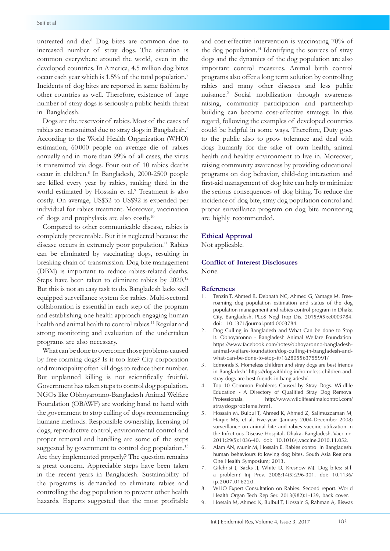untreated and die.<sup>6</sup> Dog bites are common due to increased number of stray dogs. The situation is common everywhere around the world, even in the developed countries. In America, 4.5 million dog bites occur each year which is 1.5% of the total population.7 Incidents of dog bites are reported in same fashion by other countries as well. Therefore, existence of large number of stray dogs is seriously a public health threat in Bangladesh.

Dogs are the reservoir of rabies. Most of the cases of rabies are transmitted due to stray dogs in Bangladesh.6 According to the World Health Organization (WHO) estimation, 60 000 people on average die of rabies annually and in more than 99% of all cases, the virus is transmitted via dogs. Four out of 10 rabies deaths occur in children.8 In Bangladesh, 2000-2500 people are killed every year by rabies, ranking third in the world estimated by Hossain et al.<sup>9</sup> Treatment is also costly. On average, US\$32 to US\$92 is expended per individual for rabies treatment. Moreover, vaccination of dogs and prophylaxis are also costly.10

Compared to other communicable disease, rabies is completely preventable. But it is neglected because the disease occurs in extremely poor population.<sup>11</sup> Rabies can be eliminated by vaccinating dogs, resulting in breaking chain of transmission. Dog bite management (DBM) is important to reduce rabies-related deaths. Steps have been taken to eliminate rabies by 2020.12 But this is not an easy task to do. Bangladesh lacks well equipped surveillance system for rabies. Multi-sectoral collaboration is essential in each step of the program and establishing one health approach engaging human health and animal health to control rabies.<sup>11</sup> Regular and strong monitoring and evaluation of the undertaken programs are also necessary.

What can be done to overcome those problems caused by free roaming dogs? Is it too late? City corporation and municipality often kill dogs to reduce their number. But unplanned killing is not scientifically fruitful. Government has taken steps to control dog population. NGOs like Obhoyaronno-Bangladesh Animal Welfare Foundation (OBAWF) are working hand to hand with the government to stop culling of dogs recommending humane methods. Responsible ownership, licensing of dogs, reproductive control, environmental control and proper removal and handling are some of the steps suggested by government to control dog population.<sup>13</sup> Are they implemented properly? The question remains a great concern. Appreciable steps have been taken in the recent years in Bangladesh. Sustainability of the programs is demanded to eliminate rabies and controlling the dog population to prevent other health hazards. Experts suggested that the most profitable

and cost-effective intervention is vaccinating 70% of the dog population.<sup>14</sup> Identifying the sources of stray dogs and the dynamics of the dog population are also important control measures. Animal birth control programs also offer a long term solution by controlling rabies and many other diseases and less public nuisance.2 Social mobilization through awareness raising, community participation and partnership building can become cost-effective strategy. In this regard, following the examples of developed countries could be helpful in some ways. Therefore, Duty goes to the public also to grow tolerance and deal with dogs humanly for the sake of own health, animal health and healthy environment to live in. Moreover, raising community awareness by providing educational programs on dog behavior, child-dog interaction and first-aid management of dog bite can help to minimize the serious consequences of dog biting. To reduce the incidence of dog bite, stray dog population control and proper surveillance program on dog bite monitoring are highly recommended.

## **Ethical Approval**

Not applicable.

## **Conflict of Interest Disclosures**

None.

### **References**

- 1. Tenzin T, Ahmed R, Debnath NC, Ahmed G, Yamage M. Freeroaming dog population estimation and status of the dog population management and rabies control program in Dhaka City, Bangladesh. PLoS Negl Trop Dis. 2015;9(5):e0003784. doi: 10.1371/journal.pntd.0003784.
- 2. Dog Culling in Bangladesh and What Can be done to Stop It. Obhoyaronno - Bangladesh Animal Welfare Foundation. [https://www.facebook.com/notes/obhoyaronno-bangladesh](https://www.facebook.com/notes/obhoyaronno-bangladesh-animal-welfare-foundation/dog-culling-in-bangl)[animal-welfare-foundation/dog-culling-in-bangladesh-and](https://www.facebook.com/notes/obhoyaronno-bangladesh-animal-welfare-foundation/dog-culling-in-bangl)[what-can-be-done-to-stop-it/162805563755991/](https://www.facebook.com/notes/obhoyaronno-bangladesh-animal-welfare-foundation/dog-culling-in-bangl)
- 3. Edmonds S. Homeless children and stray dogs are best friends in Bangladesh! [https://dogwithblog.in/homeless-children-and](https://dogwithblog.in/homeless-children-and-stray-dogs-are-best-friends-in-bangladesh/)[stray-dogs-are-best-friends-in-bangladesh/.](https://dogwithblog.in/homeless-children-and-stray-dogs-are-best-friends-in-bangladesh/)
- 4. Top 10 Common Problems Caused by Stray Dogs. Wildlife Education - A Directory of Qualified Stray Dog Removal Professionals. [http://www.wildlifeanimalcontrol.com/](http://www.wildlifeanimalcontrol.com/straydogproblems.html ) [straydogproblems.html.](http://www.wildlifeanimalcontrol.com/straydogproblems.html )
- 5. Hossain M, Bulbul T, Ahmed K, Ahmed Z, Salimuzzaman M, Haque MS, et al. Five-year (January 2004-December 2008) surveillance on animal bite and rabies vaccine utilization in the Infectious Disease Hospital, Dhaka, Bangladesh. Vaccine. 2011;29(5):1036-40. doi: 10.1016/j.vaccine.2010.11.052.
- 6. Alam AN, Munir M, Hossain E. Rabies control in Bangladesh: human behaviours following dog bites. South Asia Regional One Health Symposium; 2013.
- 7. Gilchrist J, Sacks JJ, White D, Kresnow MJ. Dog bites: still a problem? Inj Prev. 2008;14(5):296-301. doi: 10.1136/ ip.2007.016220.
- 8. WHO Expert Consultation on Rabies. Second report. World Health Organ Tech Rep Ser. 2013(982):1-139, back cover.
- 9. Hossain M, Ahmed K, Bulbul T, Hossain S, Rahman A, Biswas